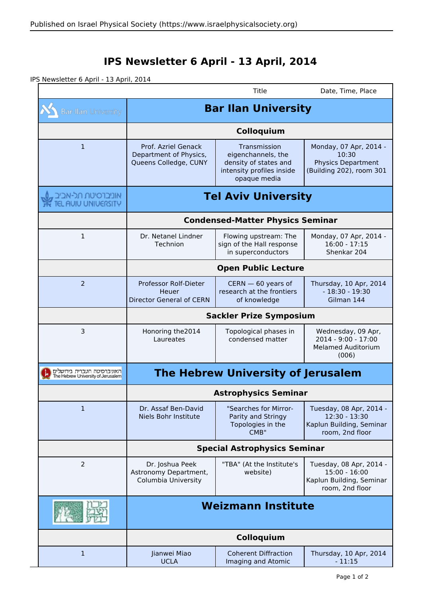## **IPS Newsletter 6 April - 13 April, 2014**

IPS Newsletter 6 April - 13 April, 2014

|                                                                   |                                                                          | Title                                                                                                    | Date, Time, Place                                                                         |
|-------------------------------------------------------------------|--------------------------------------------------------------------------|----------------------------------------------------------------------------------------------------------|-------------------------------------------------------------------------------------------|
| <b>Bar-Ilan University</b>                                        | <b>Bar Ilan University</b>                                               |                                                                                                          |                                                                                           |
|                                                                   | Colloquium                                                               |                                                                                                          |                                                                                           |
| $\mathbf{1}$                                                      | Prof. Azriel Genack<br>Department of Physics,<br>Queens Colledge, CUNY   | Transmission<br>eigenchannels, the<br>density of states and<br>intensity profiles inside<br>opaque media | Monday, 07 Apr, 2014 -<br>10:30<br><b>Physics Department</b><br>(Building 202), room 301  |
| אוניברסיטת תל-אביב<br><b>AUIU UNIUERSITY</b>                      | <b>Tel Aviv University</b>                                               |                                                                                                          |                                                                                           |
|                                                                   | <b>Condensed-Matter Physics Seminar</b>                                  |                                                                                                          |                                                                                           |
| 1                                                                 | Dr. Netanel Lindner<br>Technion                                          | Flowing upstream: The<br>sign of the Hall response<br>in superconductors                                 | Monday, 07 Apr, 2014 -<br>$16:00 - 17:15$<br>Shenkar 204                                  |
|                                                                   | <b>Open Public Lecture</b>                                               |                                                                                                          |                                                                                           |
| 2                                                                 | Professor Rolf-Dieter<br>Heuer<br>Director General of CERN               | $CERN - 60$ years of<br>research at the frontiers<br>of knowledge                                        | Thursday, 10 Apr, 2014<br>$-18:30 - 19:30$<br>Gilman 144                                  |
|                                                                   | <b>Sackler Prize Symposium</b>                                           |                                                                                                          |                                                                                           |
| 3                                                                 | Honoring the 2014<br>Laureates                                           | Topological phases in<br>condensed matter                                                                | Wednesday, 09 Apr,<br>2014 - 9:00 - 17:00<br><b>Melamed Auditorium</b><br>(006)           |
| האוניברסיטה העברית בירושלים<br>The Hebrew University of Jerusalem | <b>The Hebrew University of Jerusalem</b><br><b>Astrophysics Seminar</b> |                                                                                                          |                                                                                           |
|                                                                   |                                                                          |                                                                                                          |                                                                                           |
| 1                                                                 | Dr. Assaf Ben-David<br>Niels Bohr Institute                              | "Searches for Mirror-<br>Parity and Stringy<br>Topologies in the<br>CMB"                                 | Tuesday, 08 Apr, 2014 -<br>12:30 - 13:30<br>Kaplun Building, Seminar<br>room, 2nd floor   |
|                                                                   | <b>Special Astrophysics Seminar</b>                                      |                                                                                                          |                                                                                           |
| 2                                                                 | Dr. Joshua Peek<br>Astronomy Department,<br>Columbia University          | "TBA" (At the Institute's<br>website)                                                                    | Tuesday, 08 Apr, 2014 -<br>$15:00 - 16:00$<br>Kaplun Building, Seminar<br>room, 2nd floor |
|                                                                   | <b>Weizmann Institute</b>                                                |                                                                                                          |                                                                                           |
|                                                                   | Colloquium                                                               |                                                                                                          |                                                                                           |
| $\mathbf{1}$                                                      | Jianwei Miao<br><b>UCLA</b>                                              | <b>Coherent Diffraction</b><br>Imaging and Atomic                                                        | Thursday, 10 Apr, 2014<br>$-11:15$                                                        |